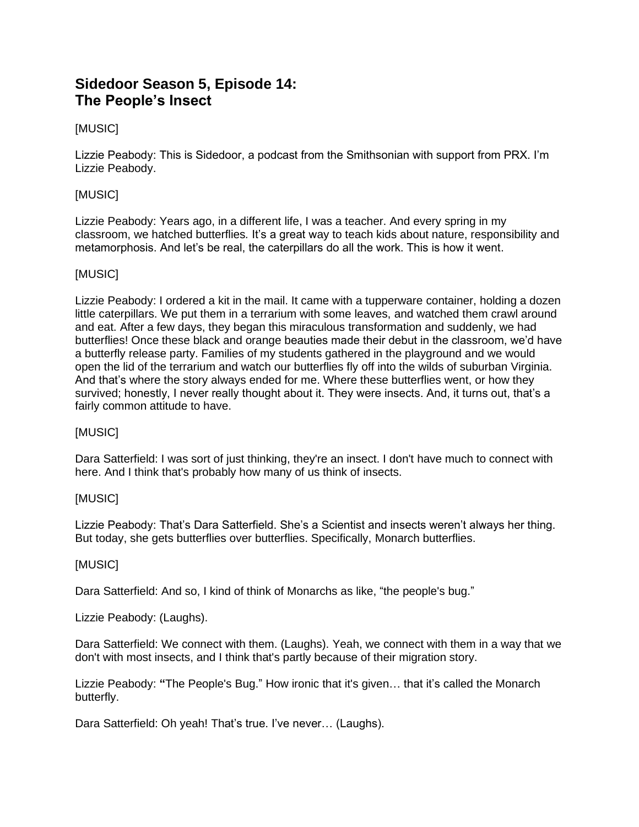# **Sidedoor Season 5, Episode 14: The People's Insect**

# [MUSIC]

Lizzie Peabody: This is Sidedoor, a podcast from the Smithsonian with support from PRX. I'm Lizzie Peabody.

# [MUSIC]

Lizzie Peabody: Years ago, in a different life, I was a teacher. And every spring in my classroom, we hatched butterflies*.* It's a great way to teach kids about nature, responsibility and metamorphosis. And let's be real, the caterpillars do all the work. This is how it went.

# [MUSIC]

Lizzie Peabody: I ordered a kit in the mail. It came with a tupperware container, holding a dozen little caterpillars. We put them in a terrarium with some leaves, and watched them crawl around and eat. After a few days, they began this miraculous transformation and suddenly, we had butterflies! Once these black and orange beauties made their debut in the classroom, we'd have a butterfly release party. Families of my students gathered in the playground and we would open the lid of the terrarium and watch our butterflies fly off into the wilds of suburban Virginia. And that's where the story always ended for me. Where these butterflies went, or how they survived; honestly, I never really thought about it. They were insects. And, it turns out, that's a fairly common attitude to have.

# [MUSIC]

Dara Satterfield: I was sort of just thinking, they're an insect. I don't have much to connect with here. And I think that's probably how many of us think of insects.

# [MUSIC]

Lizzie Peabody: That's Dara Satterfield. She's a Scientist and insects weren't always her thing. But today, she gets butterflies over butterflies. Specifically, Monarch butterflies.

#### [MUSIC]

Dara Satterfield: And so, I kind of think of Monarchs as like, "the people's bug."

Lizzie Peabody: (Laughs).

Dara Satterfield: We connect with them. (Laughs). Yeah, we connect with them in a way that we don't with most insects, and I think that's partly because of their migration story.

Lizzie Peabody: **"**The People's Bug." How ironic that it's given… that it's called the Monarch butterfly.

Dara Satterfield: Oh yeah! That's true. I've never… (Laughs).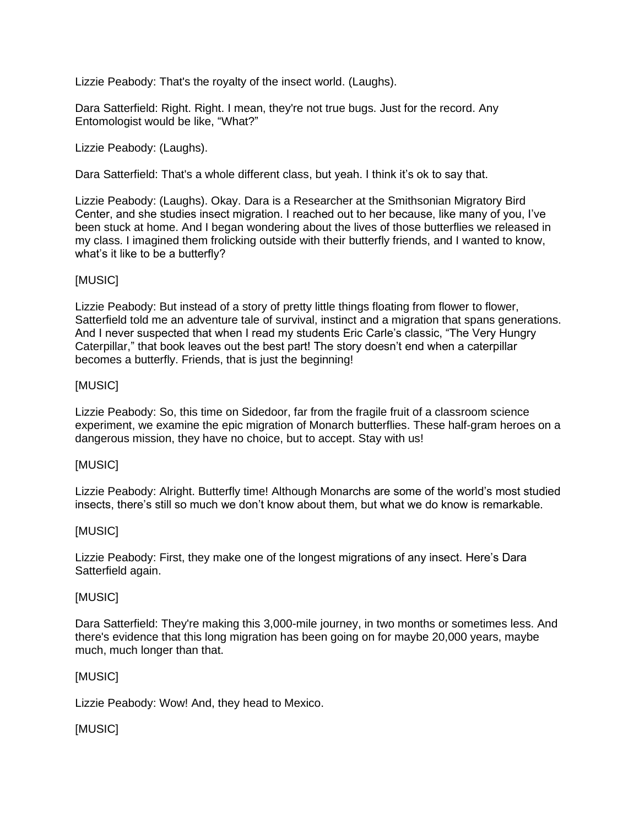Lizzie Peabody: That's the royalty of the insect world. (Laughs).

Dara Satterfield: Right. Right. I mean, they're not true bugs. Just for the record. Any Entomologist would be like, "What?"

Lizzie Peabody: (Laughs).

Dara Satterfield: That's a whole different class, but yeah. I think it's ok to say that.

Lizzie Peabody: (Laughs). Okay. Dara is a Researcher at the Smithsonian Migratory Bird Center, and she studies insect migration. I reached out to her because, like many of you, I've been stuck at home. And I began wondering about the lives of those butterflies we released in my class. I imagined them frolicking outside with their butterfly friends, and I wanted to know, what's it like to be a butterfly?

# [MUSIC]

Lizzie Peabody: But instead of a story of pretty little things floating from flower to flower, Satterfield told me an adventure tale of survival, instinct and a migration that spans generations. And I never suspected that when I read my students Eric Carle's classic, "The Very Hungry Caterpillar," that book leaves out the best part! The story doesn't end when a caterpillar becomes a butterfly. Friends, that is just the beginning!

# [MUSIC]

Lizzie Peabody: So, this time on Sidedoor, far from the fragile fruit of a classroom science experiment, we examine the epic migration of Monarch butterflies. These half-gram heroes on a dangerous mission, they have no choice, but to accept. Stay with us!

# [MUSIC]

Lizzie Peabody: Alright. Butterfly time! Although Monarchs are some of the world's most studied insects, there's still so much we don't know about them, but what we do know is remarkable.

# [MUSIC]

Lizzie Peabody: First, they make one of the longest migrations of any insect. Here's Dara Satterfield again.

# [MUSIC]

Dara Satterfield: They're making this 3,000-mile journey, in two months or sometimes less. And there's evidence that this long migration has been going on for maybe 20,000 years, maybe much, much longer than that.

# [MUSIC]

Lizzie Peabody: Wow! And, they head to Mexico.

# [MUSIC]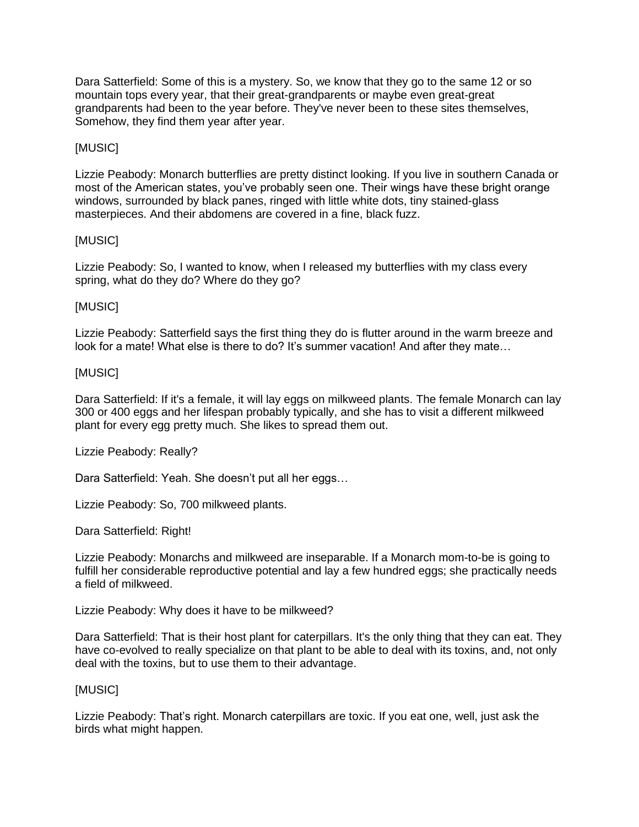Dara Satterfield: Some of this is a mystery. So, we know that they go to the same 12 or so mountain tops every year, that their great-grandparents or maybe even great-great grandparents had been to the year before. They've never been to these sites themselves, Somehow, they find them year after year.

### [MUSIC]

Lizzie Peabody: Monarch butterflies are pretty distinct looking. If you live in southern Canada or most of the American states, you've probably seen one. Their wings have these bright orange windows, surrounded by black panes, ringed with little white dots, tiny stained-glass masterpieces. And their abdomens are covered in a fine, black fuzz.

### [MUSIC]

Lizzie Peabody: So, I wanted to know, when I released my butterflies with my class every spring, what do they do? Where do they go?

### [MUSIC]

Lizzie Peabody: Satterfield says the first thing they do is flutter around in the warm breeze and look for a mate! What else is there to do? It's summer vacation! And after they mate...

### [MUSIC]

Dara Satterfield: If it's a female, it will lay eggs on milkweed plants. The female Monarch can lay 300 or 400 eggs and her lifespan probably typically, and she has to visit a different milkweed plant for every egg pretty much. She likes to spread them out.

Lizzie Peabody: Really?

Dara Satterfield: Yeah. She doesn't put all her eggs…

Lizzie Peabody: So, 700 milkweed plants.

Dara Satterfield: Right!

Lizzie Peabody: Monarchs and milkweed are inseparable. If a Monarch mom-to-be is going to fulfill her considerable reproductive potential and lay a few hundred eggs; she practically needs a field of milkweed.

Lizzie Peabody: Why does it have to be milkweed?

Dara Satterfield: That is their host plant for caterpillars. It's the only thing that they can eat. They have co-evolved to really specialize on that plant to be able to deal with its toxins, and, not only deal with the toxins, but to use them to their advantage.

### [MUSIC]

Lizzie Peabody: That's right. Monarch caterpillars are toxic. If you eat one, well, just ask the birds what might happen.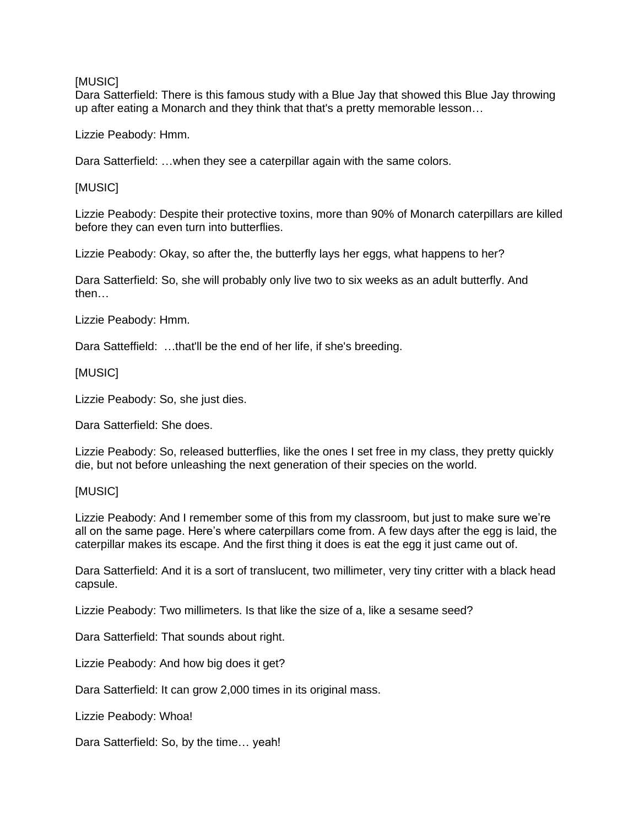#### **IMUSICI**

Dara Satterfield: There is this famous study with a Blue Jay that showed this Blue Jay throwing up after eating a Monarch and they think that that's a pretty memorable lesson…

Lizzie Peabody: Hmm.

Dara Satterfield: …when they see a caterpillar again with the same colors.

[MUSIC]

Lizzie Peabody: Despite their protective toxins, more than 90% of Monarch caterpillars are killed before they can even turn into butterflies.

Lizzie Peabody: Okay, so after the, the butterfly lays her eggs, what happens to her?

Dara Satterfield: So, she will probably only live two to six weeks as an adult butterfly. And then…

Lizzie Peabody: Hmm.

Dara Satteffield: ...that'll be the end of her life, if she's breeding.

### [MUSIC]

Lizzie Peabody: So, she just dies.

Dara Satterfield: She does.

Lizzie Peabody: So, released butterflies, like the ones I set free in my class, they pretty quickly die, but not before unleashing the next generation of their species on the world.

#### [MUSIC]

Lizzie Peabody: And I remember some of this from my classroom, but just to make sure we're all on the same page. Here's where caterpillars come from. A few days after the egg is laid, the caterpillar makes its escape. And the first thing it does is eat the egg it just came out of.

Dara Satterfield: And it is a sort of translucent, two millimeter, very tiny critter with a black head capsule.

Lizzie Peabody: Two millimeters. Is that like the size of a, like a sesame seed?

Dara Satterfield: That sounds about right.

Lizzie Peabody: And how big does it get?

Dara Satterfield: It can grow 2,000 times in its original mass.

Lizzie Peabody: Whoa!

Dara Satterfield: So, by the time… yeah!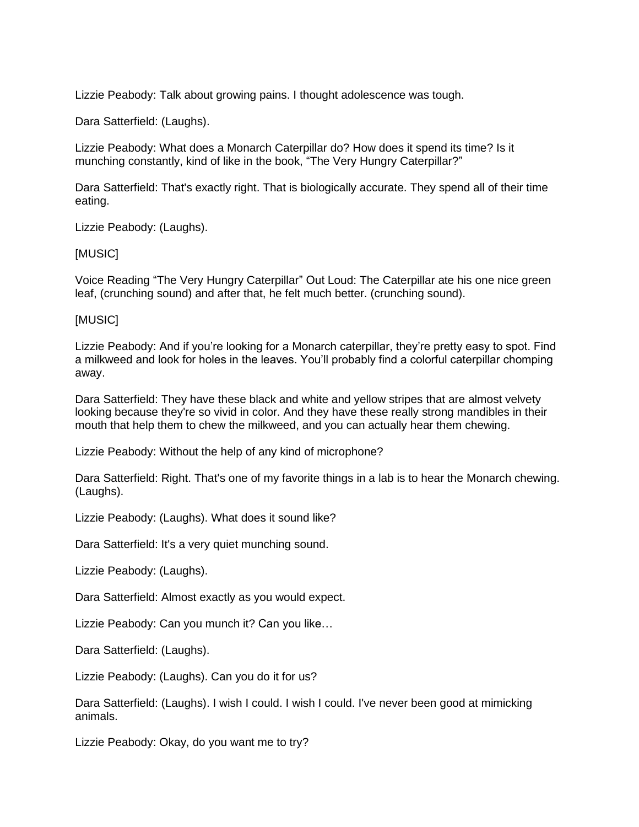Lizzie Peabody: Talk about growing pains. I thought adolescence was tough.

Dara Satterfield: (Laughs).

Lizzie Peabody: What does a Monarch Caterpillar do? How does it spend its time? Is it munching constantly, kind of like in the book, "The Very Hungry Caterpillar?"

Dara Satterfield: That's exactly right. That is biologically accurate. They spend all of their time eating.

Lizzie Peabody: (Laughs).

#### [MUSIC]

Voice Reading "The Very Hungry Caterpillar" Out Loud: The Caterpillar ate his one nice green leaf, (crunching sound) and after that, he felt much better. (crunching sound).

### [MUSIC]

Lizzie Peabody: And if you're looking for a Monarch caterpillar, they're pretty easy to spot. Find a milkweed and look for holes in the leaves. You'll probably find a colorful caterpillar chomping away.

Dara Satterfield: They have these black and white and yellow stripes that are almost velvety looking because they're so vivid in color. And they have these really strong mandibles in their mouth that help them to chew the milkweed, and you can actually hear them chewing.

Lizzie Peabody: Without the help of any kind of microphone?

Dara Satterfield: Right. That's one of my favorite things in a lab is to hear the Monarch chewing. (Laughs).

Lizzie Peabody: (Laughs). What does it sound like?

Dara Satterfield: It's a very quiet munching sound.

Lizzie Peabody: (Laughs).

Dara Satterfield: Almost exactly as you would expect.

Lizzie Peabody: Can you munch it? Can you like…

Dara Satterfield: (Laughs).

Lizzie Peabody: (Laughs). Can you do it for us?

Dara Satterfield: (Laughs). I wish I could. I wish I could. I've never been good at mimicking animals.

Lizzie Peabody: Okay, do you want me to try?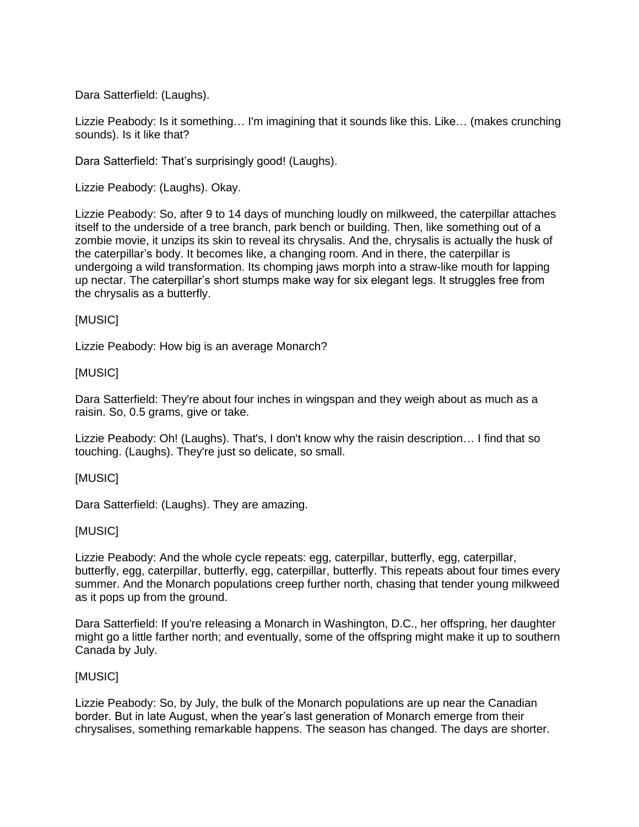Dara Satterfield: (Laughs).

Lizzie Peabody: Is it something… I'm imagining that it sounds like this. Like… (makes crunching sounds). Is it like that?

Dara Satterfield: That's surprisingly good! (Laughs).

Lizzie Peabody: (Laughs). Okay.

Lizzie Peabody: So, after 9 to 14 days of munching loudly on milkweed, the caterpillar attaches itself to the underside of a tree branch, park bench or building. Then, like something out of a zombie movie, it unzips its skin to reveal its chrysalis. And the, chrysalis is actually the husk of the caterpillar's body. It becomes like, a changing room. And in there, the caterpillar is undergoing a wild transformation. Its chomping jaws morph into a straw-like mouth for lapping up nectar. The caterpillar's short stumps make way for six elegant legs. It struggles free from the chrysalis as a butterfly.

### [MUSIC]

Lizzie Peabody: How big is an average Monarch?

### [MUSIC]

Dara Satterfield: They're about four inches in wingspan and they weigh about as much as a raisin. So, 0.5 grams, give or take.

Lizzie Peabody: Oh! (Laughs). That's, I don't know why the raisin description… I find that so touching. (Laughs). They're just so delicate, so small.

#### [MUSIC]

Dara Satterfield: (Laughs). They are amazing.

#### [MUSIC]

Lizzie Peabody: And the whole cycle repeats: egg, caterpillar, butterfly, egg, caterpillar, butterfly, egg, caterpillar, butterfly, egg, caterpillar, butterfly. This repeats about four times every summer. And the Monarch populations creep further north, chasing that tender young milkweed as it pops up from the ground.

Dara Satterfield: If you're releasing a Monarch in Washington, D.C., her offspring, her daughter might go a little farther north; and eventually, some of the offspring might make it up to southern Canada by July.

#### [MUSIC]

Lizzie Peabody: So, by July, the bulk of the Monarch populations are up near the Canadian border. But in late August, when the year's last generation of Monarch emerge from their chrysalises, something remarkable happens. The season has changed. The days are shorter.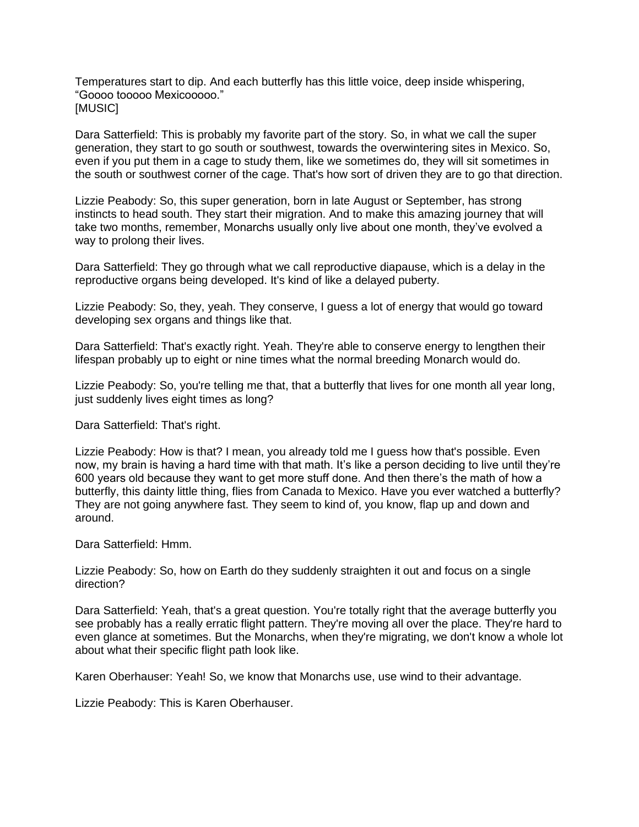Temperatures start to dip. And each butterfly has this little voice, deep inside whispering, "Goooo tooooo Mexicooooo." [MUSIC]

Dara Satterfield: This is probably my favorite part of the story. So, in what we call the super generation, they start to go south or southwest, towards the overwintering sites in Mexico. So, even if you put them in a cage to study them, like we sometimes do, they will sit sometimes in the south or southwest corner of the cage. That's how sort of driven they are to go that direction.

Lizzie Peabody: So, this super generation, born in late August or September, has strong instincts to head south. They start their migration. And to make this amazing journey that will take two months, remember, Monarchs usually only live about one month, they've evolved a way to prolong their lives.

Dara Satterfield: They go through what we call reproductive diapause, which is a delay in the reproductive organs being developed. It's kind of like a delayed puberty.

Lizzie Peabody: So, they, yeah. They conserve, I guess a lot of energy that would go toward developing sex organs and things like that.

Dara Satterfield: That's exactly right. Yeah. They're able to conserve energy to lengthen their lifespan probably up to eight or nine times what the normal breeding Monarch would do.

Lizzie Peabody: So, you're telling me that, that a butterfly that lives for one month all year long, just suddenly lives eight times as long?

Dara Satterfield: That's right.

Lizzie Peabody: How is that? I mean, you already told me I guess how that's possible. Even now, my brain is having a hard time with that math. It's like a person deciding to live until they're 600 years old because they want to get more stuff done. And then there's the math of how a butterfly, this dainty little thing, flies from Canada to Mexico. Have you ever watched a butterfly? They are not going anywhere fast. They seem to kind of, you know, flap up and down and around.

Dara Satterfield: Hmm.

Lizzie Peabody: So, how on Earth do they suddenly straighten it out and focus on a single direction?

Dara Satterfield: Yeah, that's a great question. You're totally right that the average butterfly you see probably has a really erratic flight pattern. They're moving all over the place. They're hard to even glance at sometimes. But the Monarchs, when they're migrating, we don't know a whole lot about what their specific flight path look like.

Karen Oberhauser: Yeah! So, we know that Monarchs use, use wind to their advantage.

Lizzie Peabody: This is Karen Oberhauser.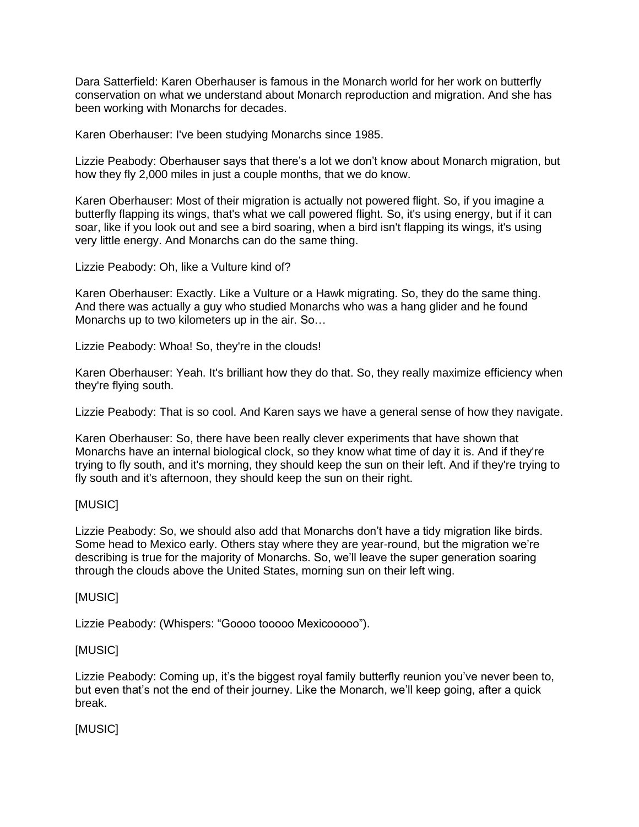Dara Satterfield: Karen Oberhauser is famous in the Monarch world for her work on butterfly conservation on what we understand about Monarch reproduction and migration. And she has been working with Monarchs for decades.

Karen Oberhauser: I've been studying Monarchs since 1985.

Lizzie Peabody: Oberhauser says that there's a lot we don't know about Monarch migration, but how they fly 2,000 miles in just a couple months, that we do know.

Karen Oberhauser: Most of their migration is actually not powered flight. So, if you imagine a butterfly flapping its wings, that's what we call powered flight. So, it's using energy, but if it can soar, like if you look out and see a bird soaring, when a bird isn't flapping its wings, it's using very little energy. And Monarchs can do the same thing.

Lizzie Peabody: Oh, like a Vulture kind of?

Karen Oberhauser: Exactly. Like a Vulture or a Hawk migrating. So, they do the same thing. And there was actually a guy who studied Monarchs who was a hang glider and he found Monarchs up to two kilometers up in the air. So…

Lizzie Peabody: Whoa! So, they're in the clouds!

Karen Oberhauser: Yeah. It's brilliant how they do that. So, they really maximize efficiency when they're flying south.

Lizzie Peabody: That is so cool. And Karen says we have a general sense of how they navigate.

Karen Oberhauser: So, there have been really clever experiments that have shown that Monarchs have an internal biological clock, so they know what time of day it is. And if they're trying to fly south, and it's morning, they should keep the sun on their left. And if they're trying to fly south and it's afternoon, they should keep the sun on their right.

# [MUSIC]

Lizzie Peabody: So, we should also add that Monarchs don't have a tidy migration like birds. Some head to Mexico early. Others stay where they are year-round, but the migration we're describing is true for the majority of Monarchs. So, we'll leave the super generation soaring through the clouds above the United States, morning sun on their left wing.

# [MUSIC]

Lizzie Peabody: (Whispers: "Goooo tooooo Mexicooooo").

# [MUSIC]

Lizzie Peabody: Coming up, it's the biggest royal family butterfly reunion you've never been to, but even that's not the end of their journey. Like the Monarch, we'll keep going, after a quick break.

[MUSIC]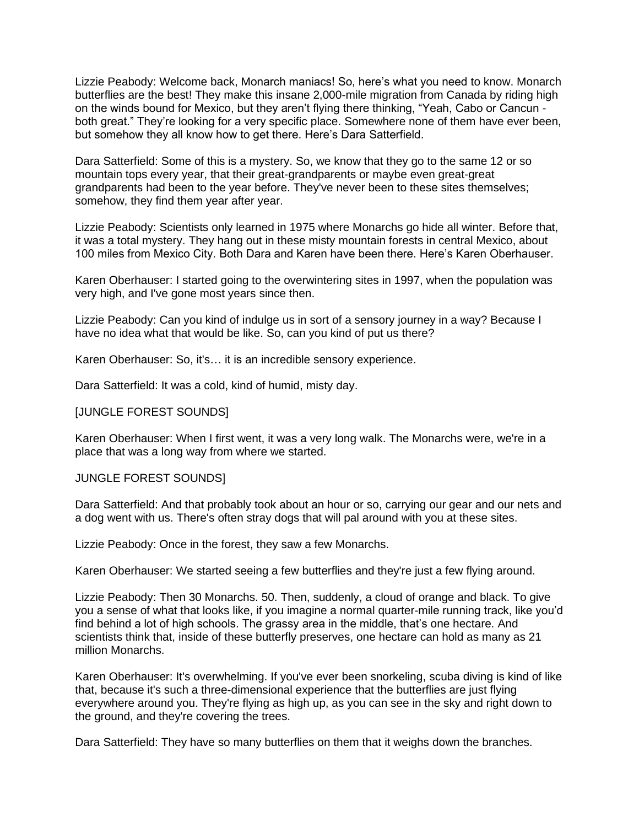Lizzie Peabody: Welcome back, Monarch maniacs! So, here's what you need to know. Monarch butterflies are the best! They make this insane 2,000-mile migration from Canada by riding high on the winds bound for Mexico, but they aren't flying there thinking, "Yeah, Cabo or Cancun both great." They're looking for a very specific place. Somewhere none of them have ever been, but somehow they all know how to get there. Here's Dara Satterfield.

Dara Satterfield: Some of this is a mystery. So, we know that they go to the same 12 or so mountain tops every year, that their great-grandparents or maybe even great-great grandparents had been to the year before. They've never been to these sites themselves; somehow, they find them year after year.

Lizzie Peabody: Scientists only learned in 1975 where Monarchs go hide all winter. Before that, it was a total mystery. They hang out in these misty mountain forests in central Mexico, about 100 miles from Mexico City. Both Dara and Karen have been there. Here's Karen Oberhauser.

Karen Oberhauser: I started going to the overwintering sites in 1997, when the population was very high, and I've gone most years since then.

Lizzie Peabody: Can you kind of indulge us in sort of a sensory journey in a way? Because I have no idea what that would be like. So, can you kind of put us there?

Karen Oberhauser: So, it's… it is an incredible sensory experience.

Dara Satterfield: It was a cold, kind of humid, misty day.

#### [JUNGLE FOREST SOUNDS]

Karen Oberhauser: When I first went, it was a very long walk. The Monarchs were, we're in a place that was a long way from where we started.

#### JUNGLE FOREST SOUNDS]

Dara Satterfield: And that probably took about an hour or so, carrying our gear and our nets and a dog went with us. There's often stray dogs that will pal around with you at these sites.

Lizzie Peabody: Once in the forest, they saw a few Monarchs.

Karen Oberhauser: We started seeing a few butterflies and they're just a few flying around.

Lizzie Peabody: Then 30 Monarchs. 50. Then, suddenly, a cloud of orange and black. To give you a sense of what that looks like, if you imagine a normal quarter-mile running track, like you'd find behind a lot of high schools. The grassy area in the middle, that's one hectare. And scientists think that, inside of these butterfly preserves, one hectare can hold as many as 21 million Monarchs.

Karen Oberhauser: It's overwhelming. If you've ever been snorkeling, scuba diving is kind of like that, because it's such a three-dimensional experience that the butterflies are just flying everywhere around you. They're flying as high up, as you can see in the sky and right down to the ground, and they're covering the trees.

Dara Satterfield: They have so many butterflies on them that it weighs down the branches.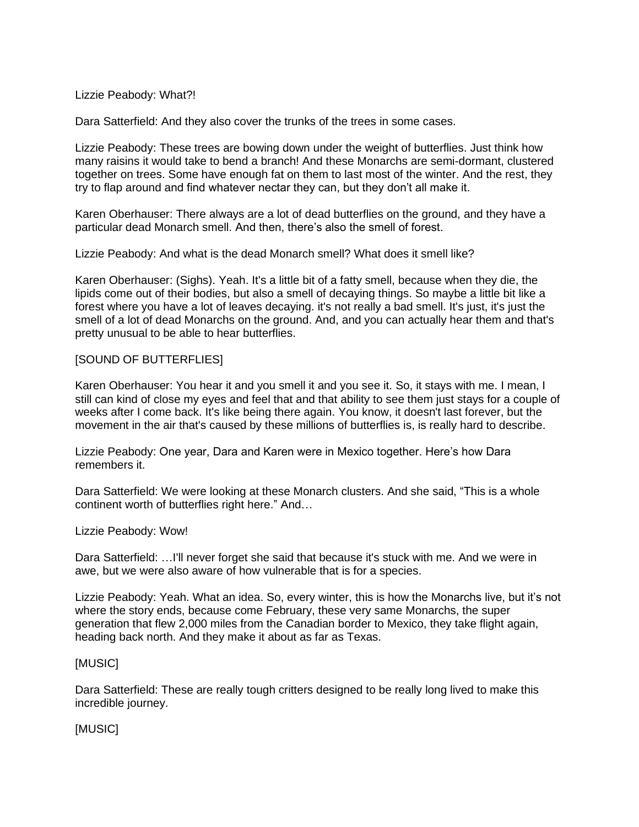Lizzie Peabody: What?!

Dara Satterfield: And they also cover the trunks of the trees in some cases.

Lizzie Peabody: These trees are bowing down under the weight of butterflies. Just think how many raisins it would take to bend a branch! And these Monarchs are semi-dormant, clustered together on trees. Some have enough fat on them to last most of the winter. And the rest, they try to flap around and find whatever nectar they can, but they don't all make it.

Karen Oberhauser: There always are a lot of dead butterflies on the ground, and they have a particular dead Monarch smell. And then, there's also the smell of forest.

Lizzie Peabody: And what is the dead Monarch smell? What does it smell like?

Karen Oberhauser: (Sighs). Yeah. It's a little bit of a fatty smell, because when they die, the lipids come out of their bodies, but also a smell of decaying things. So maybe a little bit like a forest where you have a lot of leaves decaying. it's not really a bad smell. It's just, it's just the smell of a lot of dead Monarchs on the ground. And, and you can actually hear them and that's pretty unusual to be able to hear butterflies.

# [SOUND OF BUTTERFLIES]

Karen Oberhauser: You hear it and you smell it and you see it. So, it stays with me. I mean, I still can kind of close my eyes and feel that and that ability to see them just stays for a couple of weeks after I come back. It's like being there again. You know, it doesn't last forever, but the movement in the air that's caused by these millions of butterflies is, is really hard to describe.

Lizzie Peabody: One year, Dara and Karen were in Mexico together. Here's how Dara remembers it.

Dara Satterfield: We were looking at these Monarch clusters. And she said, "This is a whole continent worth of butterflies right here." And…

Lizzie Peabody: Wow!

Dara Satterfield: …I'll never forget she said that because it's stuck with me. And we were in awe, but we were also aware of how vulnerable that is for a species.

Lizzie Peabody: Yeah. What an idea. So, every winter, this is how the Monarchs live, but it's not where the story ends, because come February, these very same Monarchs, the super generation that flew 2,000 miles from the Canadian border to Mexico, they take flight again, heading back north. And they make it about as far as Texas.

#### [MUSIC]

Dara Satterfield: These are really tough critters designed to be really long lived to make this incredible journey.

[MUSIC]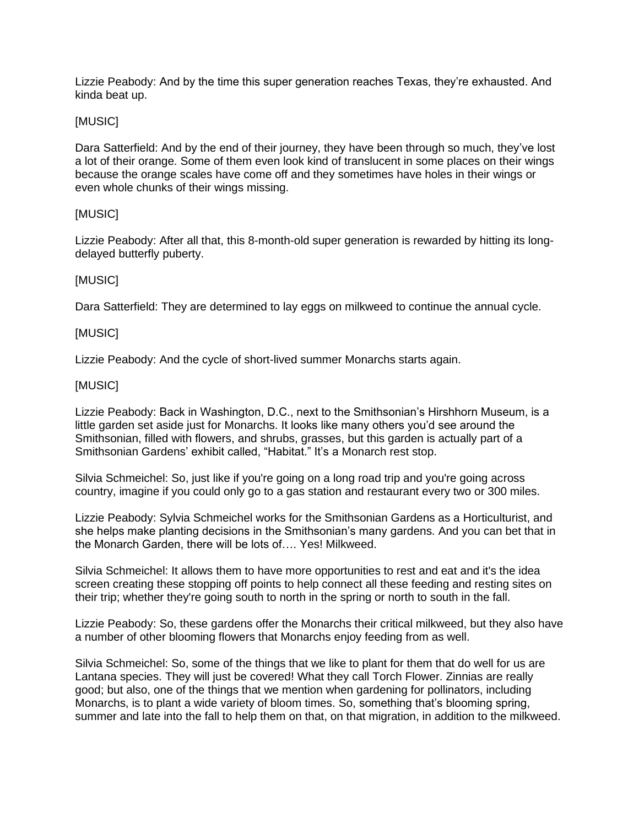Lizzie Peabody: And by the time this super generation reaches Texas, they're exhausted. And kinda beat up.

# [MUSIC]

Dara Satterfield: And by the end of their journey, they have been through so much, they've lost a lot of their orange. Some of them even look kind of translucent in some places on their wings because the orange scales have come off and they sometimes have holes in their wings or even whole chunks of their wings missing.

# [MUSIC]

Lizzie Peabody: After all that, this 8-month-old super generation is rewarded by hitting its longdelayed butterfly puberty.

# [MUSIC]

Dara Satterfield: They are determined to lay eggs on milkweed to continue the annual cycle.

# [MUSIC]

Lizzie Peabody: And the cycle of short-lived summer Monarchs starts again.

# [MUSIC]

Lizzie Peabody: Back in Washington, D.C., next to the Smithsonian's Hirshhorn Museum, is a little garden set aside just for Monarchs. It looks like many others you'd see around the Smithsonian, filled with flowers, and shrubs, grasses, but this garden is actually part of a Smithsonian Gardens' exhibit called, "Habitat." It's a Monarch rest stop.

Silvia Schmeichel: So, just like if you're going on a long road trip and you're going across country, imagine if you could only go to a gas station and restaurant every two or 300 miles.

Lizzie Peabody: Sylvia Schmeichel works for the Smithsonian Gardens as a Horticulturist, and she helps make planting decisions in the Smithsonian's many gardens. And you can bet that in the Monarch Garden, there will be lots of…. Yes! Milkweed.

Silvia Schmeichel: It allows them to have more opportunities to rest and eat and it's the idea screen creating these stopping off points to help connect all these feeding and resting sites on their trip; whether they're going south to north in the spring or north to south in the fall.

Lizzie Peabody: So, these gardens offer the Monarchs their critical milkweed, but they also have a number of other blooming flowers that Monarchs enjoy feeding from as well.

Silvia Schmeichel: So, some of the things that we like to plant for them that do well for us are Lantana species. They will just be covered! What they call Torch Flower. Zinnias are really good; but also, one of the things that we mention when gardening for pollinators, including Monarchs, is to plant a wide variety of bloom times. So, something that's blooming spring, summer and late into the fall to help them on that, on that migration, in addition to the milkweed.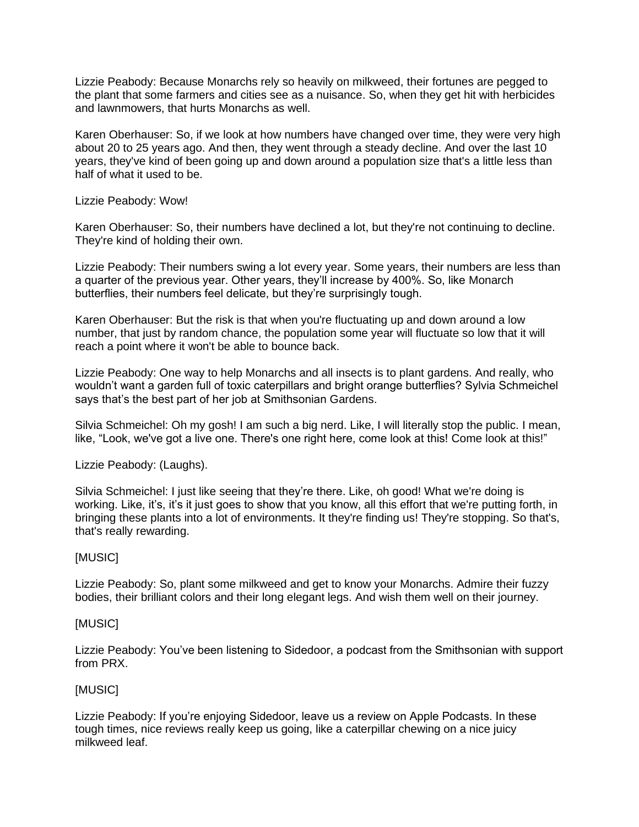Lizzie Peabody: Because Monarchs rely so heavily on milkweed, their fortunes are pegged to the plant that some farmers and cities see as a nuisance. So, when they get hit with herbicides and lawnmowers, that hurts Monarchs as well.

Karen Oberhauser: So, if we look at how numbers have changed over time, they were very high about 20 to 25 years ago. And then, they went through a steady decline. And over the last 10 years, they've kind of been going up and down around a population size that's a little less than half of what it used to be.

#### Lizzie Peabody: Wow!

Karen Oberhauser: So, their numbers have declined a lot, but they're not continuing to decline. They're kind of holding their own.

Lizzie Peabody: Their numbers swing a lot every year. Some years, their numbers are less than a quarter of the previous year. Other years, they'll increase by 400%. So, like Monarch butterflies, their numbers feel delicate, but they're surprisingly tough.

Karen Oberhauser: But the risk is that when you're fluctuating up and down around a low number, that just by random chance, the population some year will fluctuate so low that it will reach a point where it won't be able to bounce back.

Lizzie Peabody: One way to help Monarchs and all insects is to plant gardens. And really, who wouldn't want a garden full of toxic caterpillars and bright orange butterflies? Sylvia Schmeichel says that's the best part of her job at Smithsonian Gardens.

Silvia Schmeichel: Oh my gosh! I am such a big nerd. Like, I will literally stop the public. I mean, like, "Look, we've got a live one. There's one right here, come look at this! Come look at this!"

Lizzie Peabody: (Laughs).

Silvia Schmeichel: I just like seeing that they're there. Like, oh good! What we're doing is working. Like, it's, it's it just goes to show that you know, all this effort that we're putting forth, in bringing these plants into a lot of environments. It they're finding us! They're stopping. So that's, that's really rewarding.

# [MUSIC]

Lizzie Peabody: So, plant some milkweed and get to know your Monarchs. Admire their fuzzy bodies, their brilliant colors and their long elegant legs. And wish them well on their journey.

# [MUSIC]

Lizzie Peabody: You've been listening to Sidedoor, a podcast from the Smithsonian with support from PRX.

# [MUSIC]

Lizzie Peabody: If you're enjoying Sidedoor, leave us a review on Apple Podcasts. In these tough times, nice reviews really keep us going, like a caterpillar chewing on a nice juicy milkweed leaf.